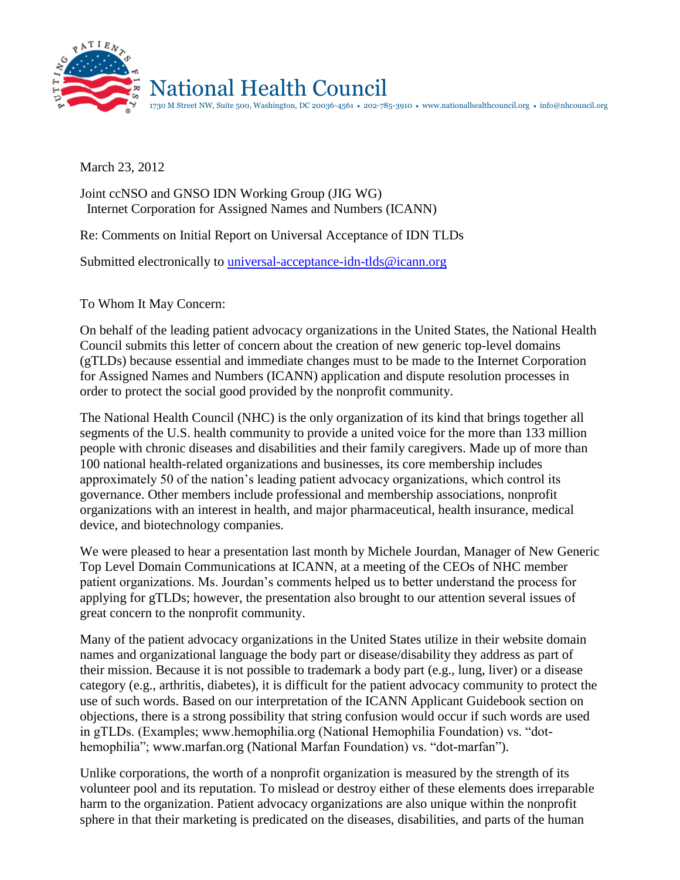

March 23, 2012

## Joint ccNSO and GNSO IDN Working Group (JIG WG) Internet Corporation for Assigned Names and Numbers (ICANN)

Re: Comments on Initial Report on Universal Acceptance of IDN TLDs

Submitted electronically to *universal-acceptance-idn-tlds@icann.org* 

To Whom It May Concern:

On behalf of the leading patient advocacy organizations in the United States, the National Health Council submits this letter of concern about the creation of new generic top-level domains (gTLDs) because essential and immediate changes must to be made to the Internet Corporation for Assigned Names and Numbers (ICANN) application and dispute resolution processes in order to protect the social good provided by the nonprofit community.

The National Health Council (NHC) is the only organization of its kind that brings together all segments of the U.S. health community to provide a united voice for the more than 133 million people with chronic diseases and disabilities and their family caregivers. Made up of more than 100 national health-related organizations and businesses, its core membership includes approximately 50 of the nation's leading patient advocacy organizations, which control its governance. Other members include professional and membership associations, nonprofit organizations with an interest in health, and major pharmaceutical, health insurance, medical device, and biotechnology companies.

We were pleased to hear a presentation last month by Michele Jourdan, Manager of New Generic Top Level Domain Communications at ICANN, at a meeting of the CEOs of NHC member patient organizations. Ms. Jourdan's comments helped us to better understand the process for applying for gTLDs; however, the presentation also brought to our attention several issues of great concern to the nonprofit community.

Many of the patient advocacy organizations in the United States utilize in their website domain names and organizational language the body part or disease/disability they address as part of their mission. Because it is not possible to trademark a body part (e.g., lung, liver) or a disease category (e.g., arthritis, diabetes), it is difficult for the patient advocacy community to protect the use of such words. Based on our interpretation of the ICANN Applicant Guidebook section on objections, there is a strong possibility that string confusion would occur if such words are used in gTLDs. (Examples; www.hemophilia.org (National Hemophilia Foundation) vs. "dothemophilia"; www.marfan.org (National Marfan Foundation) vs. "dot-marfan").

Unlike corporations, the worth of a nonprofit organization is measured by the strength of its volunteer pool and its reputation. To mislead or destroy either of these elements does irreparable harm to the organization. Patient advocacy organizations are also unique within the nonprofit sphere in that their marketing is predicated on the diseases, disabilities, and parts of the human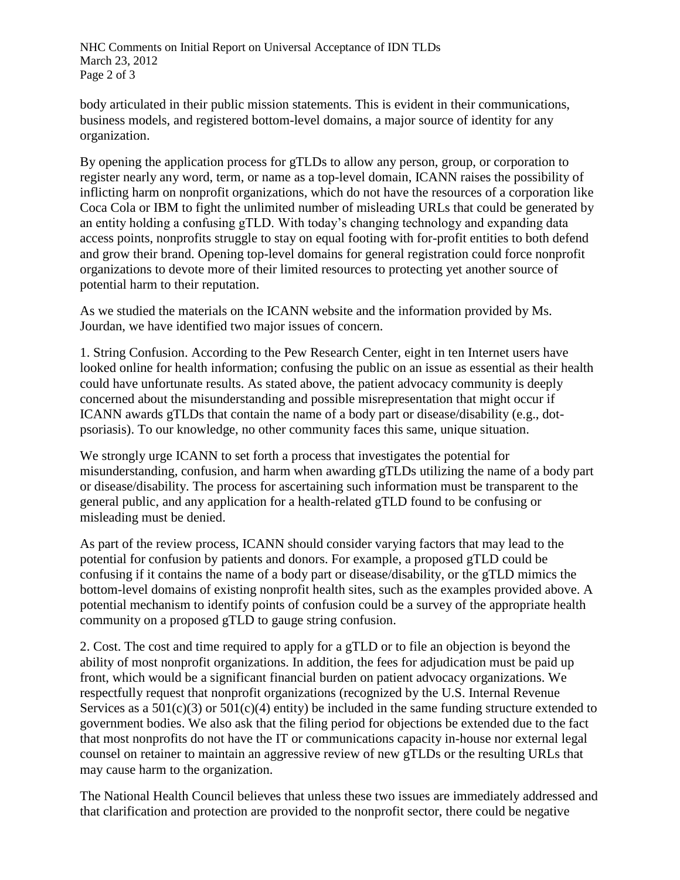NHC Comments on Initial Report on Universal Acceptance of IDN TLDs March 23, 2012 Page 2 of 3

body articulated in their public mission statements. This is evident in their communications, business models, and registered bottom-level domains, a major source of identity for any organization.

By opening the application process for gTLDs to allow any person, group, or corporation to register nearly any word, term, or name as a top-level domain, ICANN raises the possibility of inflicting harm on nonprofit organizations, which do not have the resources of a corporation like Coca Cola or IBM to fight the unlimited number of misleading URLs that could be generated by an entity holding a confusing gTLD. With today's changing technology and expanding data access points, nonprofits struggle to stay on equal footing with for-profit entities to both defend and grow their brand. Opening top-level domains for general registration could force nonprofit organizations to devote more of their limited resources to protecting yet another source of potential harm to their reputation.

As we studied the materials on the ICANN website and the information provided by Ms. Jourdan, we have identified two major issues of concern.

1. String Confusion. According to the Pew Research Center, eight in ten Internet users have looked online for health information; confusing the public on an issue as essential as their health could have unfortunate results. As stated above, the patient advocacy community is deeply concerned about the misunderstanding and possible misrepresentation that might occur if ICANN awards gTLDs that contain the name of a body part or disease/disability (e.g., dotpsoriasis). To our knowledge, no other community faces this same, unique situation.

We strongly urge ICANN to set forth a process that investigates the potential for misunderstanding, confusion, and harm when awarding gTLDs utilizing the name of a body part or disease/disability. The process for ascertaining such information must be transparent to the general public, and any application for a health-related gTLD found to be confusing or misleading must be denied.

As part of the review process, ICANN should consider varying factors that may lead to the potential for confusion by patients and donors. For example, a proposed gTLD could be confusing if it contains the name of a body part or disease/disability, or the gTLD mimics the bottom-level domains of existing nonprofit health sites, such as the examples provided above. A potential mechanism to identify points of confusion could be a survey of the appropriate health community on a proposed gTLD to gauge string confusion.

2. Cost. The cost and time required to apply for a gTLD or to file an objection is beyond the ability of most nonprofit organizations. In addition, the fees for adjudication must be paid up front, which would be a significant financial burden on patient advocacy organizations. We respectfully request that nonprofit organizations (recognized by the U.S. Internal Revenue Services as a  $501(c)(3)$  or  $501(c)(4)$  entity) be included in the same funding structure extended to government bodies. We also ask that the filing period for objections be extended due to the fact that most nonprofits do not have the IT or communications capacity in-house nor external legal counsel on retainer to maintain an aggressive review of new gTLDs or the resulting URLs that may cause harm to the organization.

The National Health Council believes that unless these two issues are immediately addressed and that clarification and protection are provided to the nonprofit sector, there could be negative